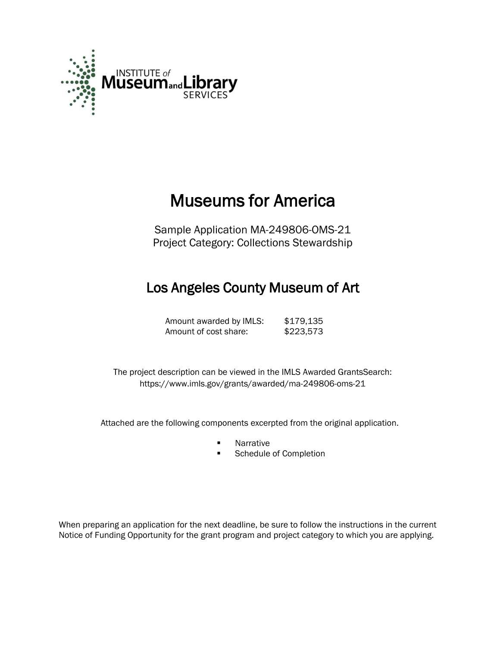

# Museums for America

Sample Application MA-249806-OMS-21 Project Category: Collections Stewardship

# Los Angeles County Museum of Art

Amount awarded by IMLS: \$179,135 Amount of cost share: \$223,573

The project description can be viewed in the IMLS Awarded GrantsSearch: <https://www.imls.gov/grants/awarded/ma-249806-oms-21>

Attached are the following components excerpted from the original application.

- **Narrative**
- Schedule of Completion

When preparing an application for the next deadline, be sure to follow the instructions in the current Notice of Funding Opportunity for the grant program and project category to which you are applying.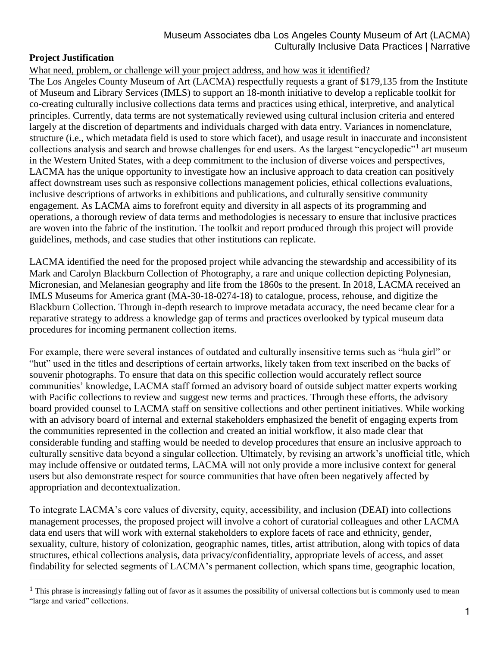# **Project Justification**

l

What need, problem, or challenge will your project address, and how was it identified?

The Los Angeles County Museum of Art (LACMA) respectfully requests a grant of \$179,135 from the Institute of Museum and Library Services (IMLS) to support an 18-month initiative to develop a replicable toolkit for co-creating culturally inclusive collections data terms and practices using ethical, interpretive, and analytical principles. Currently, data terms are not systematically reviewed using cultural inclusion criteria and entered largely at the discretion of departments and individuals charged with data entry. Variances in nomenclature, structure (i.e., which metadata field is used to store which facet), and usage result in inaccurate and inconsistent collections analysis and search and browse challenges for end users. As the largest "encyclopedic"<sup>1</sup> art museum in the Western United States, with a deep commitment to the inclusion of diverse voices and perspectives, LACMA has the unique opportunity to investigate how an inclusive approach to data creation can positively affect downstream uses such as responsive collections management policies, ethical collections evaluations, inclusive descriptions of artworks in exhibitions and publications, and culturally sensitive community engagement. As LACMA aims to forefront equity and diversity in all aspects of its programming and operations, a thorough review of data terms and methodologies is necessary to ensure that inclusive practices are woven into the fabric of the institution. The toolkit and report produced through this project will provide guidelines, methods, and case studies that other institutions can replicate.

LACMA identified the need for the proposed project while advancing the stewardship and accessibility of its Mark and Carolyn Blackburn Collection of Photography, a rare and unique collection depicting Polynesian, Micronesian, and Melanesian geography and life from the 1860s to the present. In 2018, LACMA received an IMLS Museums for America grant (MA-30-18-0274-18) to catalogue, process, rehouse, and digitize the Blackburn Collection. Through in-depth research to improve metadata accuracy, the need became clear for a reparative strategy to address a knowledge gap of terms and practices overlooked by typical museum data procedures for incoming permanent collection items.

For example, there were several instances of outdated and culturally insensitive terms such as "hula girl" or "hut" used in the titles and descriptions of certain artworks, likely taken from text inscribed on the backs of souvenir photographs. To ensure that data on this specific collection would accurately reflect source communities' knowledge, LACMA staff formed an advisory board of outside subject matter experts working with Pacific collections to review and suggest new terms and practices. Through these efforts, the advisory board provided counsel to LACMA staff on sensitive collections and other pertinent initiatives. While working with an advisory board of internal and external stakeholders emphasized the benefit of engaging experts from the communities represented in the collection and created an initial workflow, it also made clear that considerable funding and staffing would be needed to develop procedures that ensure an inclusive approach to culturally sensitive data beyond a singular collection. Ultimately, by revising an artwork's unofficial title, which may include offensive or outdated terms, LACMA will not only provide a more inclusive context for general users but also demonstrate respect for source communities that have often been negatively affected by appropriation and decontextualization.

To integrate LACMA's core values of diversity, equity, accessibility, and inclusion (DEAI) into collections management processes, the proposed project will involve a cohort of curatorial colleagues and other LACMA data end users that will work with external stakeholders to explore facets of race and ethnicity, gender, sexuality, culture, history of colonization, geographic names, titles, artist attribution, along with topics of data structures, ethical collections analysis, data privacy/confidentiality, appropriate levels of access, and asset findability for selected segments of LACMA's permanent collection, which spans time, geographic location,

 $<sup>1</sup>$  This phrase is increasingly falling out of favor as it assumes the possibility of universal collections but is commonly used to mean</sup> "large and varied" collections.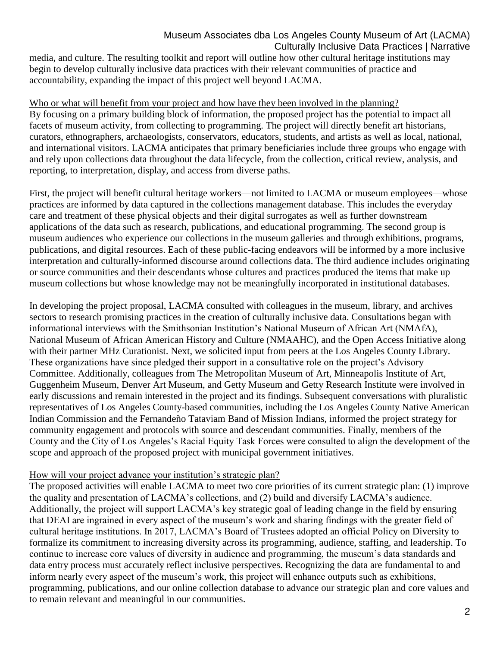media, and culture. The resulting toolkit and report will outline how other cultural heritage institutions may begin to develop culturally inclusive data practices with their relevant communities of practice and accountability, expanding the impact of this project well beyond LACMA.

# Who or what will benefit from your project and how have they been involved in the planning?

By focusing on a primary building block of information, the proposed project has the potential to impact all facets of museum activity, from collecting to programming. The project will directly benefit art historians, curators, ethnographers, archaeologists, conservators, educators, students, and artists as well as local, national, and international visitors. LACMA anticipates that primary beneficiaries include three groups who engage with and rely upon collections data throughout the data lifecycle, from the collection, critical review, analysis, and reporting, to interpretation, display, and access from diverse paths.

First, the project will benefit cultural heritage workers—not limited to LACMA or museum employees—whose practices are informed by data captured in the collections management database. This includes the everyday care and treatment of these physical objects and their digital surrogates as well as further downstream applications of the data such as research, publications, and educational programming. The second group is museum audiences who experience our collections in the museum galleries and through exhibitions, programs, publications, and digital resources. Each of these public-facing endeavors will be informed by a more inclusive interpretation and culturally-informed discourse around collections data. The third audience includes originating or source communities and their descendants whose cultures and practices produced the items that make up museum collections but whose knowledge may not be meaningfully incorporated in institutional databases.

In developing the project proposal, LACMA consulted with colleagues in the museum, library, and archives sectors to research promising practices in the creation of culturally inclusive data. Consultations began with informational interviews with the Smithsonian Institution's National Museum of African Art (NMAfA), National Museum of African American History and Culture (NMAAHC), and the Open Access Initiative along with their partner MHz Curationist. Next, we solicited input from peers at the Los Angeles County Library. These organizations have since pledged their support in a consultative role on the project's Advisory Committee. Additionally, colleagues from The Metropolitan Museum of Art, Minneapolis Institute of Art, Guggenheim Museum, Denver Art Museum, and Getty Museum and Getty Research Institute were involved in early discussions and remain interested in the project and its findings. Subsequent conversations with pluralistic representatives of Los Angeles County-based communities, including the Los Angeles County Native American Indian Commission and the Fernandeño Tataviam Band of Mission Indians, informed the project strategy for community engagement and protocols with source and descendant communities. Finally, members of the County and the City of Los Angeles's Racial Equity Task Forces were consulted to align the development of the scope and approach of the proposed project with municipal government initiatives.

# How will your project advance your institution's strategic plan?

The proposed activities will enable LACMA to meet two core priorities of its current strategic plan: (1) improve the quality and presentation of LACMA's collections, and (2) build and diversify LACMA's audience. Additionally, the project will support LACMA's key strategic goal of leading change in the field by ensuring that DEAI are ingrained in every aspect of the museum's work and sharing findings with the greater field of cultural heritage institutions. In 2017, LACMA's Board of Trustees adopted an official Policy on Diversity to formalize its commitment to increasing diversity across its programming, audience, staffing, and leadership. To continue to increase core values of diversity in audience and programming, the museum's data standards and data entry process must accurately reflect inclusive perspectives. Recognizing the data are fundamental to and inform nearly every aspect of the museum's work, this project will enhance outputs such as exhibitions, programming, publications, and our online collection database to advance our strategic plan and core values and to remain relevant and meaningful in our communities.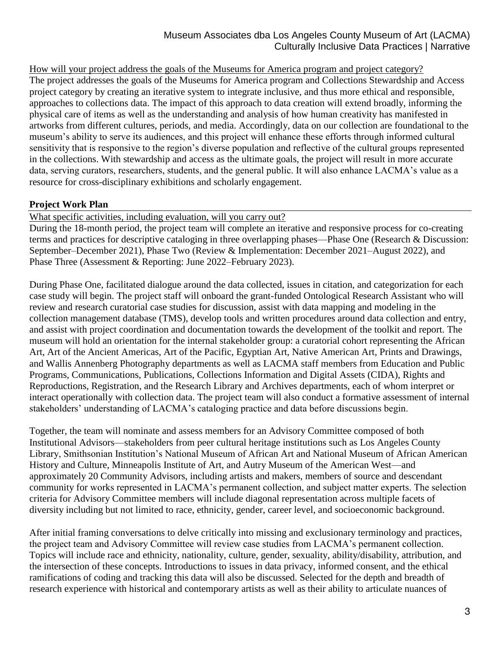How will your project address the goals of the Museums for America program and project category? The project addresses the goals of the Museums for America program and Collections Stewardship and Access project category by creating an iterative system to integrate inclusive, and thus more ethical and responsible, approaches to collections data. The impact of this approach to data creation will extend broadly, informing the physical care of items as well as the understanding and analysis of how human creativity has manifested in artworks from different cultures, periods, and media. Accordingly, data on our collection are foundational to the museum's ability to serve its audiences, and this project will enhance these efforts through informed cultural sensitivity that is responsive to the region's diverse population and reflective of the cultural groups represented in the collections. With stewardship and access as the ultimate goals, the project will result in more accurate data, serving curators, researchers, students, and the general public. It will also enhance LACMA's value as a resource for cross-disciplinary exhibitions and scholarly engagement.

# **Project Work Plan**

What specific activities, including evaluation, will you carry out?

During the 18-month period, the project team will complete an iterative and responsive process for co-creating terms and practices for descriptive cataloging in three overlapping phases—Phase One (Research & Discussion: September–December 2021), Phase Two (Review & Implementation: December 2021–August 2022), and Phase Three (Assessment & Reporting: June 2022–February 2023).

During Phase One, facilitated dialogue around the data collected, issues in citation, and categorization for each case study will begin. The project staff will onboard the grant-funded Ontological Research Assistant who will review and research curatorial case studies for discussion, assist with data mapping and modeling in the collection management database (TMS), develop tools and written procedures around data collection and entry, and assist with project coordination and documentation towards the development of the toolkit and report. The museum will hold an orientation for the internal stakeholder group: a curatorial cohort representing the African Art, Art of the Ancient Americas, Art of the Pacific, Egyptian Art, Native American Art, Prints and Drawings, and Wallis Annenberg Photography departments as well as LACMA staff members from Education and Public Programs, Communications, Publications, Collections Information and Digital Assets (CIDA), Rights and Reproductions, Registration, and the Research Library and Archives departments, each of whom interpret or interact operationally with collection data. The project team will also conduct a formative assessment of internal stakeholders' understanding of LACMA's cataloging practice and data before discussions begin.

Together, the team will nominate and assess members for an Advisory Committee composed of both Institutional Advisors—stakeholders from peer cultural heritage institutions such as Los Angeles County Library, Smithsonian Institution's National Museum of African Art and National Museum of African American History and Culture, Minneapolis Institute of Art, and Autry Museum of the American West—and approximately 20 Community Advisors, including artists and makers, members of source and descendant community for works represented in LACMA's permanent collection, and subject matter experts. The selection criteria for Advisory Committee members will include diagonal representation across multiple facets of diversity including but not limited to race, ethnicity, gender, career level, and socioeconomic background.

After initial framing conversations to delve critically into missing and exclusionary terminology and practices, the project team and Advisory Committee will review case studies from LACMA's permanent collection. Topics will include race and ethnicity, nationality, culture, gender, sexuality, ability/disability, attribution, and the intersection of these concepts. Introductions to issues in data privacy, informed consent, and the ethical ramifications of coding and tracking this data will also be discussed. Selected for the depth and breadth of research experience with historical and contemporary artists as well as their ability to articulate nuances of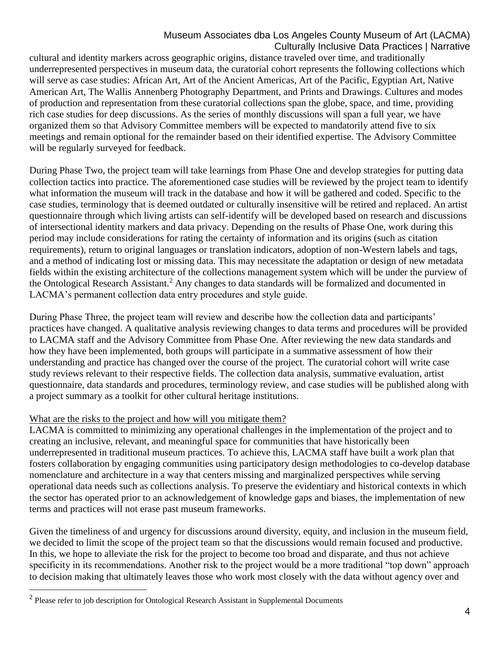cultural and identity markers across geographic origins, distance traveled over time, and traditionally underrepresented perspectives in museum data, the curatorial cohort represents the following collections which will serve as case studies: African Art, Art of the Ancient Americas, Art of the Pacific, Egyptian Art, Native American Art, The Wallis Annenberg Photography Department, and Prints and Drawings. Cultures and modes of production and representation from these curatorial collections span the globe, space, and time, providing rich case studies for deep discussions. As the series of monthly discussions will span a full year, we have organized them so that Advisory Committee members will be expected to mandatorily attend five to six meetings and remain optional for the remainder based on their identified expertise. The Advisory Committee will be regularly surveyed for feedback.

During Phase Two, the project team will take learnings from Phase One and develop strategies for putting data collection tactics into practice. The aforementioned case studies will be reviewed by the project team to identify what information the museum will track in the database and how it will be gathered and coded. Specific to the case studies, terminology that is deemed outdated or culturally insensitive will be retired and replaced. An artist questionnaire through which living artists can self-identify will be developed based on research and discussions of intersectional identity markers and data privacy. Depending on the results of Phase One, work during this period may include considerations for rating the certainty of information and its origins (such as citation requirements), return to original languages or translation indicators, adoption of non-Western labels and tags, and a method of indicating lost or missing data. This may necessitate the adaptation or design of new metadata fields within the existing architecture of the collections management system which will be under the purview of the Ontological Research Assistant.<sup>2</sup> Any changes to data standards will be formalized and documented in LACMA's permanent collection data entry procedures and style guide.

During Phase Three, the project team will review and describe how the collection data and participants' practices have changed. A qualitative analysis reviewing changes to data terms and procedures will be provided to LACMA staff and the Advisory Committee from Phase One. After reviewing the new data standards and how they have been implemented, both groups will participate in a summative assessment of how their understanding and practice has changed over the course of the project. The curatorial cohort will write case study reviews relevant to their respective fields. The collection data analysis, summative evaluation, artist questionnaire, data standards and procedures, terminology review, and case studies will be published along with a project summary as a toolkit for other cultural heritage institutions.

# What are the risks to the project and how will you mitigate them?

LACMA is committed to minimizing any operational challenges in the implementation of the project and to creating an inclusive, relevant, and meaningful space for communities that have historically been underrepresented in traditional museum practices. To achieve this, LACMA staff have built a work plan that fosters collaboration by engaging communities using participatory design methodologies to co-develop database nomenclature and architecture in a way that centers missing and marginalized perspectives while serving operational data needs such as collections analysis. To preserve the evidentiary and historical contexts in which the sector has operated prior to an acknowledgement of knowledge gaps and biases, the implementation of new terms and practices will not erase past museum frameworks.

Given the timeliness of and urgency for discussions around diversity, equity, and inclusion in the museum field, we decided to limit the scope of the project team so that the discussions would remain focused and productive. In this, we hope to alleviate the risk for the project to become too broad and disparate, and thus not achieve specificity in its recommendations. Another risk to the project would be a more traditional "top down" approach to decision making that ultimately leaves those who work most closely with the data without agency over and

 $\overline{\phantom{a}}$ 

 $2$  Please refer to job description for Ontological Research Assistant in Supplemental Documents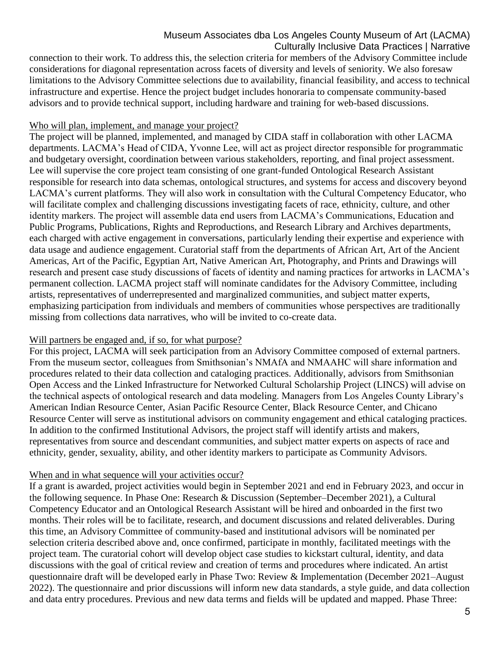connection to their work. To address this, the selection criteria for members of the Advisory Committee include considerations for diagonal representation across facets of diversity and levels of seniority. We also foresaw limitations to the Advisory Committee selections due to availability, financial feasibility, and access to technical infrastructure and expertise. Hence the project budget includes honoraria to compensate community-based advisors and to provide technical support, including hardware and training for web-based discussions.

#### Who will plan, implement, and manage your project?

The project will be planned, implemented, and managed by CIDA staff in collaboration with other LACMA departments. LACMA's Head of CIDA, Yvonne Lee, will act as project director responsible for programmatic and budgetary oversight, coordination between various stakeholders, reporting, and final project assessment. Lee will supervise the core project team consisting of one grant-funded Ontological Research Assistant responsible for research into data schemas, ontological structures, and systems for access and discovery beyond LACMA's current platforms. They will also work in consultation with the Cultural Competency Educator, who will facilitate complex and challenging discussions investigating facets of race, ethnicity, culture, and other identity markers. The project will assemble data end users from LACMA's Communications, Education and Public Programs, Publications, Rights and Reproductions, and Research Library and Archives departments, each charged with active engagement in conversations, particularly lending their expertise and experience with data usage and audience engagement. Curatorial staff from the departments of African Art, Art of the Ancient Americas, Art of the Pacific, Egyptian Art, Native American Art, Photography, and Prints and Drawings will research and present case study discussions of facets of identity and naming practices for artworks in LACMA's permanent collection. LACMA project staff will nominate candidates for the Advisory Committee, including artists, representatives of underrepresented and marginalized communities, and subject matter experts, emphasizing participation from individuals and members of communities whose perspectives are traditionally missing from collections data narratives, who will be invited to co-create data.

#### Will partners be engaged and, if so, for what purpose?

For this project, LACMA will seek participation from an Advisory Committee composed of external partners. From the museum sector, colleagues from Smithsonian's NMAfA and NMAAHC will share information and procedures related to their data collection and cataloging practices. Additionally, advisors from Smithsonian Open Access and the Linked Infrastructure for Networked Cultural Scholarship Project (LINCS) will advise on the technical aspects of ontological research and data modeling. Managers from Los Angeles County Library's American Indian Resource Center, Asian Pacific Resource Center, Black Resource Center, and Chicano Resource Center will serve as institutional advisors on community engagement and ethical cataloging practices. In addition to the confirmed Institutional Advisors, the project staff will identify artists and makers, representatives from source and descendant communities, and subject matter experts on aspects of race and ethnicity, gender, sexuality, ability, and other identity markers to participate as Community Advisors.

#### When and in what sequence will your activities occur?

If a grant is awarded, project activities would begin in September 2021 and end in February 2023, and occur in the following sequence. In Phase One: Research & Discussion (September–December 2021), a Cultural Competency Educator and an Ontological Research Assistant will be hired and onboarded in the first two months. Their roles will be to facilitate, research, and document discussions and related deliverables. During this time, an Advisory Committee of community-based and institutional advisors will be nominated per selection criteria described above and, once confirmed, participate in monthly, facilitated meetings with the project team. The curatorial cohort will develop object case studies to kickstart cultural, identity, and data discussions with the goal of critical review and creation of terms and procedures where indicated. An artist questionnaire draft will be developed early in Phase Two: Review & Implementation (December 2021–August 2022). The questionnaire and prior discussions will inform new data standards, a style guide, and data collection and data entry procedures. Previous and new data terms and fields will be updated and mapped. Phase Three: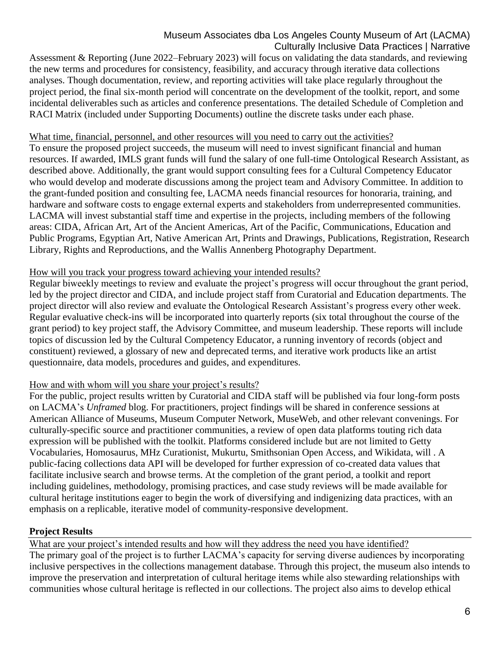Assessment & Reporting (June 2022–February 2023) will focus on validating the data standards, and reviewing the new terms and procedures for consistency, feasibility, and accuracy through iterative data collections analyses. Though documentation, review, and reporting activities will take place regularly throughout the project period, the final six-month period will concentrate on the development of the toolkit, report, and some incidental deliverables such as articles and conference presentations. The detailed Schedule of Completion and RACI Matrix (included under Supporting Documents) outline the discrete tasks under each phase.

# What time, financial, personnel, and other resources will you need to carry out the activities?

To ensure the proposed project succeeds, the museum will need to invest significant financial and human resources. If awarded, IMLS grant funds will fund the salary of one full-time Ontological Research Assistant, as described above. Additionally, the grant would support consulting fees for a Cultural Competency Educator who would develop and moderate discussions among the project team and Advisory Committee. In addition to the grant-funded position and consulting fee, LACMA needs financial resources for honoraria, training, and hardware and software costs to engage external experts and stakeholders from underrepresented communities. LACMA will invest substantial staff time and expertise in the projects, including members of the following areas: CIDA, African Art, Art of the Ancient Americas, Art of the Pacific, Communications, Education and Public Programs, Egyptian Art, Native American Art, Prints and Drawings, Publications, Registration, Research Library, Rights and Reproductions, and the Wallis Annenberg Photography Department.

# How will you track your progress toward achieving your intended results?

Regular biweekly meetings to review and evaluate the project's progress will occur throughout the grant period, led by the project director and CIDA, and include project staff from Curatorial and Education departments. The project director will also review and evaluate the Ontological Research Assistant's progress every other week. Regular evaluative check-ins will be incorporated into quarterly reports (six total throughout the course of the grant period) to key project staff, the Advisory Committee, and museum leadership. These reports will include topics of discussion led by the Cultural Competency Educator, a running inventory of records (object and constituent) reviewed, a glossary of new and deprecated terms, and iterative work products like an artist questionnaire, data models, procedures and guides, and expenditures.

# How and with whom will you share your project's results?

For the public, project results written by Curatorial and CIDA staff will be published via four long-form posts on LACMA's *Unframed* blog. For practitioners, project findings will be shared in conference sessions at American Alliance of Museums, Museum Computer Network, MuseWeb, and other relevant convenings. For culturally-specific source and practitioner communities, a review of open data platforms touting rich data expression will be published with the toolkit. Platforms considered include but are not limited to Getty Vocabularies, Homosaurus, MHz Curationist, Mukurtu, Smithsonian Open Access, and Wikidata, will . A public-facing collections data API will be developed for further expression of co-created data values that facilitate inclusive search and browse terms. At the completion of the grant period, a toolkit and report including guidelines, methodology, promising practices, and case study reviews will be made available for cultural heritage institutions eager to begin the work of diversifying and indigenizing data practices, with an emphasis on a replicable, iterative model of community-responsive development.

# **Project Results**

What are your project's intended results and how will they address the need you have identified?

The primary goal of the project is to further LACMA's capacity for serving diverse audiences by incorporating inclusive perspectives in the collections management database. Through this project, the museum also intends to improve the preservation and interpretation of cultural heritage items while also stewarding relationships with communities whose cultural heritage is reflected in our collections. The project also aims to develop ethical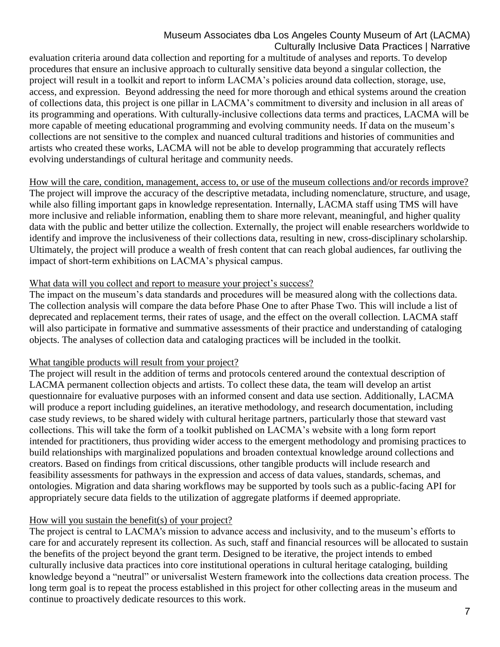evaluation criteria around data collection and reporting for a multitude of analyses and reports. To develop procedures that ensure an inclusive approach to culturally sensitive data beyond a singular collection, the project will result in a toolkit and report to inform LACMA's policies around data collection, storage, use, access, and expression. Beyond addressing the need for more thorough and ethical systems around the creation of collections data, this project is one pillar in LACMA's commitment to diversity and inclusion in all areas of its programming and operations. With culturally-inclusive collections data terms and practices, LACMA will be more capable of meeting educational programming and evolving community needs. If data on the museum's collections are not sensitive to the complex and nuanced cultural traditions and histories of communities and artists who created these works, LACMA will not be able to develop programming that accurately reflects evolving understandings of cultural heritage and community needs.

How will the care, condition, management, access to, or use of the museum collections and/or records improve? The project will improve the accuracy of the descriptive metadata, including nomenclature, structure, and usage, while also filling important gaps in knowledge representation. Internally, LACMA staff using TMS will have more inclusive and reliable information, enabling them to share more relevant, meaningful, and higher quality data with the public and better utilize the collection. Externally, the project will enable researchers worldwide to identify and improve the inclusiveness of their collections data, resulting in new, cross-disciplinary scholarship. Ultimately, the project will produce a wealth of fresh content that can reach global audiences, far outliving the impact of short-term exhibitions on LACMA's physical campus.

#### What data will you collect and report to measure your project's success?

The impact on the museum's data standards and procedures will be measured along with the collections data. The collection analysis will compare the data before Phase One to after Phase Two. This will include a list of deprecated and replacement terms, their rates of usage, and the effect on the overall collection. LACMA staff will also participate in formative and summative assessments of their practice and understanding of cataloging objects. The analyses of collection data and cataloging practices will be included in the toolkit.

# What tangible products will result from your project?

The project will result in the addition of terms and protocols centered around the contextual description of LACMA permanent collection objects and artists. To collect these data, the team will develop an artist questionnaire for evaluative purposes with an informed consent and data use section. Additionally, LACMA will produce a report including guidelines, an iterative methodology, and research documentation, including case study reviews, to be shared widely with cultural heritage partners, particularly those that steward vast collections. This will take the form of a toolkit published on LACMA's website with a long form report intended for practitioners, thus providing wider access to the emergent methodology and promising practices to build relationships with marginalized populations and broaden contextual knowledge around collections and creators. Based on findings from critical discussions, other tangible products will include research and feasibility assessments for pathways in the expression and access of data values, standards, schemas, and ontologies. Migration and data sharing workflows may be supported by tools such as a public-facing API for appropriately secure data fields to the utilization of aggregate platforms if deemed appropriate.

# How will you sustain the benefit(s) of your project?

The project is central to LACMA's mission to advance access and inclusivity, and to the museum's efforts to care for and accurately represent its collection. As such, staff and financial resources will be allocated to sustain the benefits of the project beyond the grant term. Designed to be iterative, the project intends to embed culturally inclusive data practices into core institutional operations in cultural heritage cataloging, building knowledge beyond a "neutral" or universalist Western framework into the collections data creation process. The long term goal is to repeat the process established in this project for other collecting areas in the museum and continue to proactively dedicate resources to this work.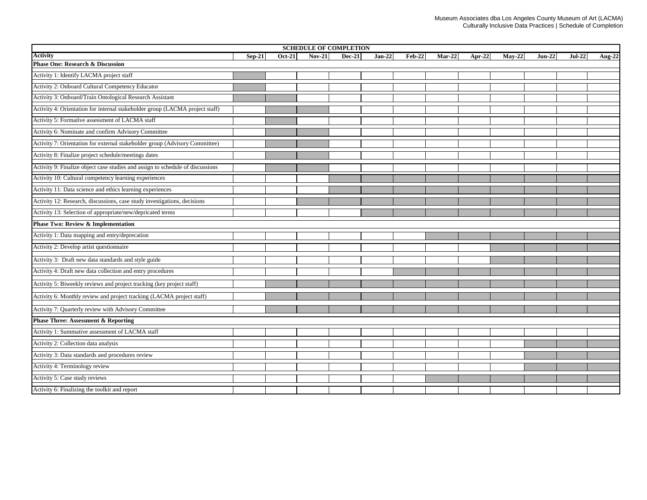| <b>SCHEDULE OF COMPLETION</b>                                                  |          |               |          |               |          |          |          |        |          |          |          |        |
|--------------------------------------------------------------------------------|----------|---------------|----------|---------------|----------|----------|----------|--------|----------|----------|----------|--------|
| <b>Activity</b>                                                                | $Sep-21$ | <b>Oct-21</b> | $Nov-21$ | <b>Dec-21</b> | $Jan-22$ | $Feb-22$ | $Mar-22$ | Apr-22 | $May-22$ | $Jun-22$ | $Jul-22$ | Aug-22 |
| <b>Phase One: Research &amp; Discussion</b>                                    |          |               |          |               |          |          |          |        |          |          |          |        |
| Activity 1: Identify LACMA project staff                                       |          |               |          |               |          |          |          |        |          |          |          |        |
| Activity 2: Onboard Cultural Competency Educator                               |          |               |          |               |          |          |          |        |          |          |          |        |
| Activity 3: Onboard/Train Ontological Research Assistant                       |          |               |          |               |          |          |          |        |          |          |          |        |
| Activity 4: Orientation for internal stakeholder group (LACMA project staff)   |          |               |          |               |          |          |          |        |          |          |          |        |
| Activity 5: Formative assessment of LACMA staff                                |          |               |          |               |          |          |          |        |          |          |          |        |
| Activity 6: Nominate and confirm Advisory Committee                            |          |               |          |               |          |          |          |        |          |          |          |        |
| Activity 7: Orientation for external stakeholder group (Advisory Committee)    |          |               |          |               |          |          |          |        |          |          |          |        |
| Activity 8: Finalize project schedule/meetings dates                           |          |               |          |               |          |          |          |        |          |          |          |        |
| Activity 9: Finalize object case studies and assign to schedule of discussions |          |               |          |               |          |          |          |        |          |          |          |        |
| Activity 10: Cultural competency learning experiences                          |          |               |          |               |          |          |          |        |          |          |          |        |
| Activity 11: Data science and ethics learning experiences                      |          |               |          |               |          |          |          |        |          |          |          |        |
| Activity 12: Research, discussions, case study investigations, decisions       |          |               |          |               |          |          |          |        |          |          |          |        |
| Activity 13: Selection of appropriate/new/depricated terms                     |          |               |          |               |          |          |          |        |          |          |          |        |
| <b>Phase Two: Review &amp; Implementation</b>                                  |          |               |          |               |          |          |          |        |          |          |          |        |
| Activity 1: Data mapping and entry/deprecation                                 |          |               |          |               |          |          |          |        |          |          |          |        |
| Activity 2: Develop artist questionnaire                                       |          |               |          |               |          |          |          |        |          |          |          |        |
| Activity 3: Draft new data standards and style guide                           |          |               |          |               |          |          |          |        |          |          |          |        |
| Activity 4: Draft new data collection and entry procedures                     |          |               |          |               |          |          |          |        |          |          |          |        |
| Activity 5: Biweekly reviews and project tracking (key project staff)          |          |               |          |               |          |          |          |        |          |          |          |        |
| Activity 6: Monthly review and project tracking (LACMA project staff)          |          |               |          |               |          |          |          |        |          |          |          |        |
| Activity 7: Quarterly review with Advisory Committee                           |          |               |          |               |          |          |          |        |          |          |          |        |
| <b>Phase Three: Assessment &amp; Reporting</b>                                 |          |               |          |               |          |          |          |        |          |          |          |        |
| Activity 1: Summative assessment of LACMA staff                                |          |               |          |               |          |          |          |        |          |          |          |        |
| Activity 2: Collection data analysis                                           |          |               |          |               |          |          |          |        |          |          |          |        |
| Activity 3: Data standards and procedures review                               |          |               |          |               |          |          |          |        |          |          |          |        |
| Activity 4: Terminology review                                                 |          |               |          |               |          |          |          |        |          |          |          |        |
| Activity 5: Case study reviews                                                 |          |               |          |               |          |          |          |        |          |          |          |        |
| Activity 6: Finalizing the toolkit and report                                  |          |               |          |               |          |          |          |        |          |          |          |        |